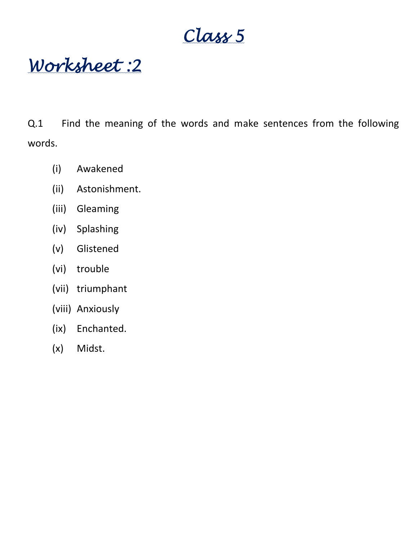**Class 5**

**Worksheet :2**

Q.1 Find the meaning of the words and make sentences from the following words.

- (i) Awakened
- (ii) Astonishment.
- (iii) Gleaming
- (iv) Splashing
- (v) Glistened
- (vi) trouble
- (vii) triumphant
- (viii) Anxiously
- (ix) Enchanted.
- (x) Midst.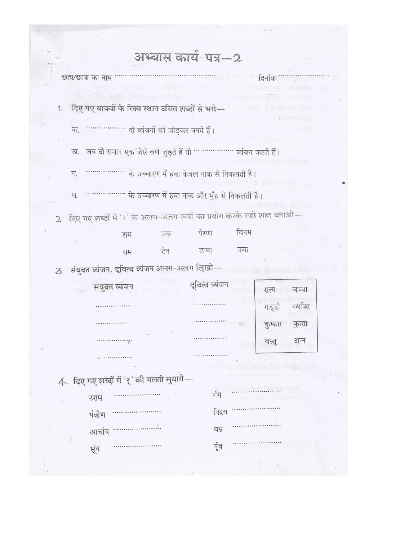|  | अभ्यास काय-पत्र—2 |  |
|--|-------------------|--|
|--|-------------------|--|

| अत्र/छात्रा का नाम |                                                                      |     |       |      | दिनांक ………             |  |
|--------------------|----------------------------------------------------------------------|-----|-------|------|------------------------|--|
|                    | दिए गए वाक्यों के रिक्त स्थान उचित शब्दों से भरो-                    |     |       |      | <b>WE REEL THE STA</b> |  |
|                    | क. ……………… दो व्यंजनों को जोडकर बनते हैं।                             |     |       |      | Thur El                |  |
|                    | ख. जब दो समान एक जैसे वर्ण जुड़ते हैं तो ……………… व्यंजन कहते हैं।     |     |       |      |                        |  |
| ग.                 | के उच्चारण में हवा केवल नाक से निकलती है।                            |     |       |      |                        |  |
| ঘ.                 | ''''''''''''''''''' के उच्चारण में हवा नाक और मुँह से निकलती है।     |     |       |      |                        |  |
|                    | दिए गए शब्दों में 'र' के अलग-अलग रूपों का प्रयोग करके सही शब्द बनाओ— |     |       |      |                        |  |
|                    | शम                                                                   | टक  | पेरणा | विनम |                        |  |
|                    | धम                                                                   | टेन | डामा  | पजा  |                        |  |
|                    |                                                                      |     |       |      |                        |  |

| सत्य    | षच्चा   |
|---------|---------|
| गड्डी   | व्यक्ति |
| कुम्हार | कुत्ता  |
| वस्तु   | अन्न    |
|         |         |

3 संयुक्त व्यंजन, द्वित्व व्यंजन अलग-अलग लिखो-द्वित्व व्यंजन संयुक्त व्यंजन

1.

 $\overline{2}$ 

. . . . . . . . . . . .

4 दिए गए शब्दों में 'र्' की गलती सुधारो-

................

.................

| ग्राम  |                          | र्गम   |       |
|--------|--------------------------|--------|-------|
| र्गवीण | ------------------------ | निद्रय |       |
|        | आर्चाय …………………           | धम्र   |       |
| र्सूय  |                          |        | र्पूव |

. . . . . . . . . . . . . . . .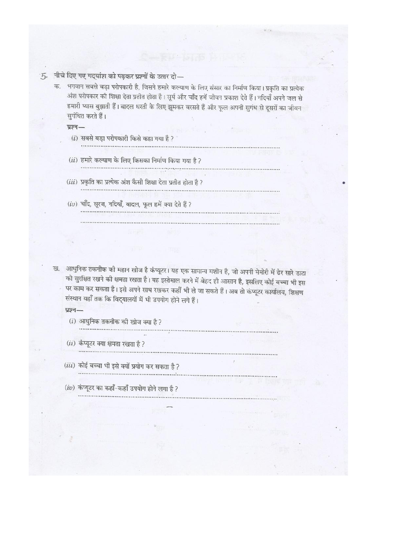- 5. नीचे दिए गए गदयांश को पढ़कर प्रश्नों के उत्तर दो-
	- क. भगवान सबसे बड़ा परोपकारी है, जिसने हमारे कल्याण के लिए संसार का निर्माण किया। प्रकृति का प्रत्येक अंश परोपकार की शिक्षा देता प्रतीत होता है। सूर्य और चाँद हमें जीवन प्रकाश देते हैं। नदियाँ अपने जल से हमारी प्यास बुझाती हैं। बादल धरती के लिए झूमकर बरसते हैं और फूल अपनी सुगंध से दूसरों का जीवन सुगंधित करते हैं।
		- प्रश्न-

 $(i)$  सबसे बड़ा परोपकारी किसे कहा गया है ?

- $(ii)$  हमारे कल्याण के लिए किसका निर्माण किया गया है ?
- 

- (iii) प्रकृति का प्रत्येक अंश कैसी शिक्षा देता प्रतीत होता है ?
- $(iv)$  चाँद, सूरज, नदियाँ, बादल, फूल हमें क्या देते हैं ?
- ख. आधुनिक तकनीक की महान खोज है कंप्यूटर। यह एक सामान्य मशीन है, जो अपनी मेमोरी में ढेर सारे डाटा को सुरक्षित रखने की क्षमता रखता है। यह इस्तेमाल करने में बेहद ही आसान है, इसलिए कोई बच्चा भी इस पर काम कर सकता है। इसे अपने साथ रखकर कहीं भी ले जा सकते हैं। अब तो कंप्यूटर कार्यालय, शिक्षण संस्थान यहाँ तक कि विद्यालयों में भी उपयोग होने लगे हैं।

#### प्रश्न-

 $(i)$  आधुनिक तकनीक की खोज क्या है ?

 $(ii)$  कंप्यूटर क्या क्षमता रखता है ?

- (iii) कोई बच्चा भी इसे क्यों प्रयोग कर सकता है ?
- $(iv)$  कंप्यूटर का कहाँ-कहाँ उपयोग होने लगा है ?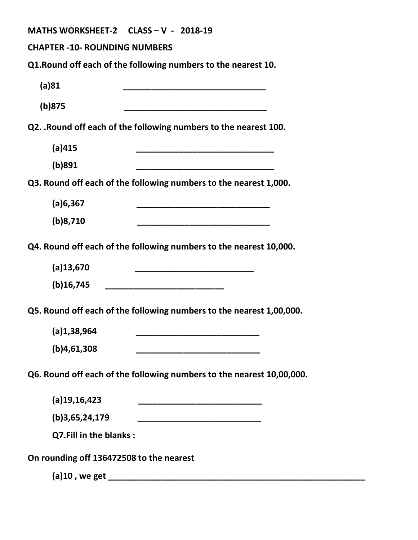| MATHS WORKSHEET-2 CLASS - V - 2018-19                                                                                         |
|-------------------------------------------------------------------------------------------------------------------------------|
| <b>CHAPTER -10- ROUNDING NUMBERS</b>                                                                                          |
| Q1. Round off each of the following numbers to the nearest 10.                                                                |
| (a)81                                                                                                                         |
| (b)875<br>.<br>1980 - Andrew Andrew Andrew Andrew Andrew Andrew Andrew Andrew Andrew Andrew Andrew Andrew Andrew Andrew Andre |
| Q2. . Round off each of the following numbers to the nearest 100.                                                             |
| (a)415                                                                                                                        |
| (b)891                                                                                                                        |
| Q3. Round off each of the following numbers to the nearest 1,000.                                                             |
| (a)6,367                                                                                                                      |
| (b)8,710                                                                                                                      |
| Q4. Round off each of the following numbers to the nearest 10,000.                                                            |
| $(a)$ 13,670                                                                                                                  |
| $(b)$ 16,745<br>_________________________________                                                                             |
| Q5. Round off each of the following numbers to the nearest 1,00,000.                                                          |
| (a)1,38,964                                                                                                                   |
| (b)4,61,308                                                                                                                   |
| Q6. Round off each of the following numbers to the nearest 10,00,000.                                                         |
| $(a)$ 19,16,423                                                                                                               |
| (b)3,65,24,179                                                                                                                |
| Q7.Fill in the blanks:                                                                                                        |
| On rounding off 136472508 to the nearest                                                                                      |
|                                                                                                                               |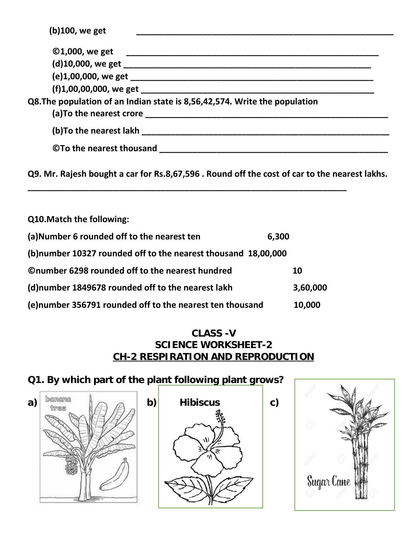| (b)100, we get                                                             |  |
|----------------------------------------------------------------------------|--|
|                                                                            |  |
|                                                                            |  |
|                                                                            |  |
|                                                                            |  |
| Q8. The population of an Indian state is 8,56,42,574. Write the population |  |
|                                                                            |  |
| ©To the nearest thousand                                                   |  |
|                                                                            |  |

**Q9. Mr. Rajesh bought a car for Rs.8,67,596 . Round off the cost of car to the nearest lakhs.**

**\_\_\_\_\_\_\_\_\_\_\_\_\_\_\_\_\_\_\_\_\_\_\_\_\_\_\_\_\_\_\_\_\_\_\_\_\_\_\_\_\_\_\_\_\_\_\_\_\_\_\_\_\_\_\_\_\_\_\_\_\_\_\_\_\_\_\_**

| Q10. Match the following:                                      |          |  |
|----------------------------------------------------------------|----------|--|
| (a) Number 6 rounded off to the nearest ten<br>6,300           |          |  |
| (b) number 10327 rounded off to the nearest thousand 18,00,000 |          |  |
| <b>Onumber 6298 rounded off to the nearest hundred</b>         | 10       |  |
| (d) number 1849678 rounded off to the nearest lakh             | 3,60,000 |  |
| (e)number 356791 rounded off to the nearest ten thousand       | 10,000   |  |

#### **CLASS -V SCIENCE WORKSHEET-2 CH-2 RESPIRATION AND REPRODUCTION**

**Q1. By which part of the plant following plant grows?** a)  $\begin{bmatrix} \frac{1}{2} & \frac{1}{2} \\ \frac{1}{2} & \frac{1}{2} \end{bmatrix}$  (b) Hibiscus (c)

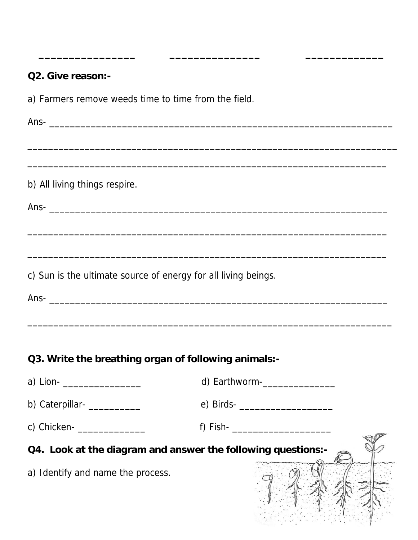**Q2. Give reason:** a) Farmers remove weeds time to time from the field. Ans- \_\_\_\_\_\_\_\_\_\_\_\_\_\_\_\_\_\_\_\_\_\_\_\_\_\_\_\_\_\_\_\_\_\_\_\_\_\_\_\_\_\_\_\_\_\_\_\_\_\_\_\_\_\_\_\_\_\_\_\_\_\_\_\_\_\_  $\overline{\phantom{a}}$  , and the contribution of the contribution of the contribution of the contribution of the contribution of the contribution of the contribution of the contribution of the contribution of the contribution of the \_\_\_\_\_\_\_\_\_\_\_\_\_\_\_\_\_\_\_\_\_\_\_\_\_\_\_\_\_\_\_\_\_\_\_\_\_\_\_\_\_\_\_\_\_\_\_\_\_\_\_\_\_\_\_\_\_\_\_\_\_\_\_\_\_\_\_\_\_ b) All living things respire. Ans- \_\_\_\_\_\_\_\_\_\_\_\_\_\_\_\_\_\_\_\_\_\_\_\_\_\_\_\_\_\_\_\_\_\_\_\_\_\_\_\_\_\_\_\_\_\_\_\_\_\_\_\_\_\_\_\_\_\_\_\_\_\_\_\_\_ \_\_\_\_\_\_\_\_\_\_\_\_\_\_\_\_\_\_\_\_\_\_\_\_\_\_\_\_\_\_\_\_\_\_\_\_\_\_\_\_\_\_\_\_\_\_\_\_\_\_\_\_\_\_\_\_\_\_\_\_\_\_\_\_\_\_\_\_\_ \_\_\_\_\_\_\_\_\_\_\_\_\_\_\_\_\_\_\_\_\_\_\_\_\_\_\_\_\_\_\_\_\_\_\_\_\_\_\_\_\_\_\_\_\_\_\_\_\_\_\_\_\_\_\_\_\_\_\_\_\_\_\_\_\_\_\_\_\_ c) Sun is the ultimate source of energy for all living beings. Ans- \_\_\_\_\_\_\_\_\_\_\_\_\_\_\_\_\_\_\_\_\_\_\_\_\_\_\_\_\_\_\_\_\_\_\_\_\_\_\_\_\_\_\_\_\_\_\_\_\_\_\_\_\_\_\_\_\_\_\_\_\_\_\_\_\_ \_\_\_\_\_\_\_\_\_\_\_\_\_\_\_\_\_\_\_\_\_\_\_\_\_\_\_\_\_\_\_\_\_\_\_\_\_\_\_\_\_\_\_\_\_\_\_\_\_\_\_\_\_\_\_\_\_\_\_\_\_\_\_\_\_\_\_\_\_\_ **Q3. Write the breathing organ of following animals:- of**  a) Lion- \_\_\_\_\_\_\_\_\_\_\_\_\_\_\_\_\_\_\_\_\_\_\_\_\_ d) Earthworm-\_\_\_\_\_\_\_\_\_\_\_\_\_\_\_\_\_\_\_\_\_\_\_\_\_\_\_\_\_\_\_\_ b) Caterpillar- \_\_\_\_\_\_\_\_\_\_ e) Birds- \_\_\_\_\_\_\_\_\_\_\_\_\_\_\_\_\_\_ f) Fish-  $\frac{1}{2}$  fish-  $\frac{1}{2}$  fish-**Q4. Look at the diagram and answer the following questions:**a) Identify and name the process. c) Chicken- \_\_\_\_\_\_\_\_\_\_\_\_\_\_\_\_\_

**\_\_\_\_\_\_\_\_\_\_\_\_\_\_\_\_ \_\_\_\_\_\_\_\_\_\_\_\_\_\_\_ \_\_\_\_\_\_\_\_\_\_\_\_\_**

**\_\_\_\_\_\_\_\_\_\_\_\_\_\_\_\_**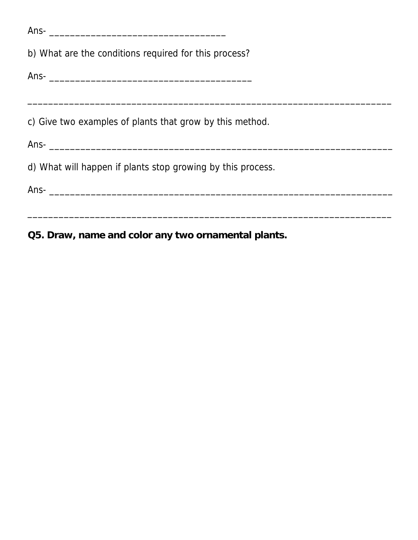| b) What are the conditions required for this process?       |  |  |
|-------------------------------------------------------------|--|--|
|                                                             |  |  |
|                                                             |  |  |
| c) Give two examples of plants that grow by this method.    |  |  |
|                                                             |  |  |
| d) What will happen if plants stop growing by this process. |  |  |
|                                                             |  |  |
|                                                             |  |  |
|                                                             |  |  |

**Q5. Draw, name and color any two ornamental plants.**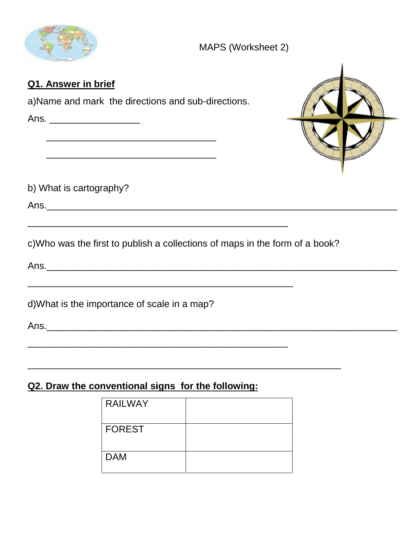

#### **Q1. Answer in brief Answer**

a)Name and mark the directions and sub-directions.

Ans. \_\_\_\_\_\_\_\_\_\_\_\_\_\_\_\_\_\_\_\_\_\_\_ \_\_\_\_\_\_\_\_\_\_\_\_\_\_\_\_\_\_\_\_\_\_\_\_\_\_\_\_\_\_\_\_ \_\_\_\_\_\_\_\_\_\_\_\_\_\_\_\_\_\_\_\_\_\_\_\_\_\_\_\_\_\_\_\_ b) What is cartography? Ans.\_\_\_\_\_\_\_\_\_\_\_\_\_\_\_\_\_\_\_\_\_\_\_\_\_\_\_\_\_\_\_\_\_\_\_\_\_\_\_\_\_\_\_\_\_\_\_\_\_\_\_\_\_\_\_\_\_\_\_\_\_\_\_\_\_\_ \_\_\_\_\_\_\_\_\_\_\_\_\_\_\_\_\_\_\_\_\_\_\_\_\_\_\_\_\_\_\_\_\_\_\_\_\_\_\_\_\_\_\_\_\_\_\_\_\_ c)Who was the first to publish a collections of maps in the form of a book? Ans.\_\_\_\_\_\_\_\_\_\_\_\_\_\_\_\_\_\_\_\_\_\_\_\_\_\_\_\_\_\_\_\_\_\_\_\_\_\_\_\_\_\_\_\_\_\_\_\_\_\_\_\_\_\_\_\_\_\_\_\_\_\_\_\_\_\_ \_\_\_\_\_\_\_\_\_\_\_\_\_\_\_\_\_\_\_\_\_\_\_\_\_\_\_\_\_\_\_\_\_\_\_\_\_\_\_\_\_\_\_\_\_\_\_\_\_\_ d)What is the importance of scale in a map? Ans.\_\_\_\_\_\_\_\_\_\_\_\_\_\_\_\_\_\_\_\_\_\_\_\_\_\_\_\_\_\_\_\_\_\_\_\_\_\_\_\_\_\_\_\_\_\_\_\_\_\_\_\_\_\_\_\_\_\_\_\_\_\_\_\_\_\_ and mark the directions and sub-directions.<br>
Ans.<br>
<br>
b) What is cartography?<br>
<br>
c)Who was the first to publish a collections of maps in the form of a book?<br>
Ans.<br>
<br>
Ans.<br>
<br>
Ans.

#### **Q2. Draw the conventional signs for the following:**

| <b>RAILWAY</b> |  |
|----------------|--|
| <b>FOREST</b>  |  |
| <b>DAM</b>     |  |

 $\overline{\phantom{a}}$  ,  $\overline{\phantom{a}}$  ,  $\overline{\phantom{a}}$  ,  $\overline{\phantom{a}}$  ,  $\overline{\phantom{a}}$  ,  $\overline{\phantom{a}}$  ,  $\overline{\phantom{a}}$  ,  $\overline{\phantom{a}}$  ,  $\overline{\phantom{a}}$  ,  $\overline{\phantom{a}}$  ,  $\overline{\phantom{a}}$  ,  $\overline{\phantom{a}}$  ,  $\overline{\phantom{a}}$  ,  $\overline{\phantom{a}}$  ,  $\overline{\phantom{a}}$  ,  $\overline{\phantom{a}}$ 

\_\_\_\_\_\_\_\_\_\_\_\_\_\_\_\_\_\_\_\_\_\_\_\_\_\_\_\_\_\_\_\_\_\_\_\_\_\_\_\_\_\_\_\_\_\_\_\_\_

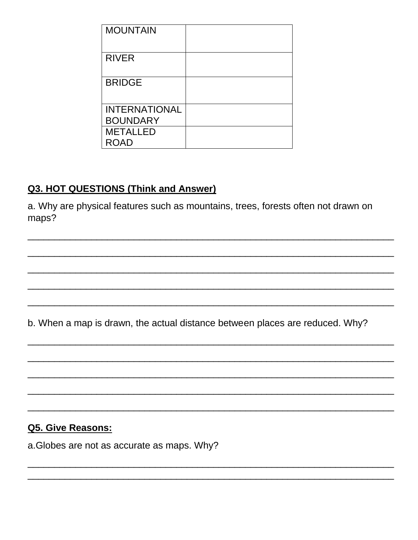| <b>MOUNTAIN</b>      |  |
|----------------------|--|
| <b>RIVER</b>         |  |
| <b>BRIDGE</b>        |  |
| <b>INTERNATIONAL</b> |  |
| <b>BOUNDARY</b>      |  |
| <b>METALLED</b>      |  |
| <b>ROAD</b>          |  |

#### **Q3. HOT QUESTIONS (Think and Answer)**

a. Why are physical features such as mountains, trees, forests often not drawn on maps?

b. When a map is drawn, the actual distance between places are reduced. Why?

#### **Q5. Give Reasons:**

a. Globes are not as accurate as maps. Why?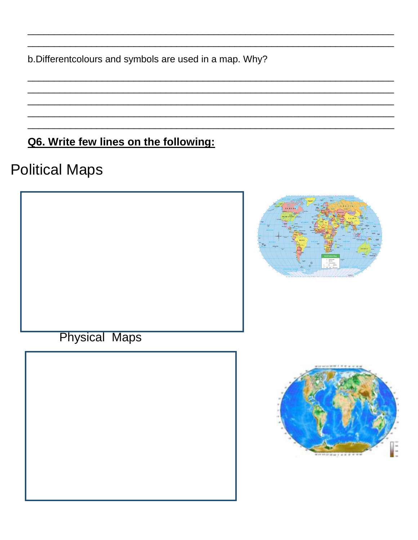b.Differentcolours and symbols are used in a map. Why?

## Q6. Write few lines on the following:

# **Political Maps**



**Physical Maps**